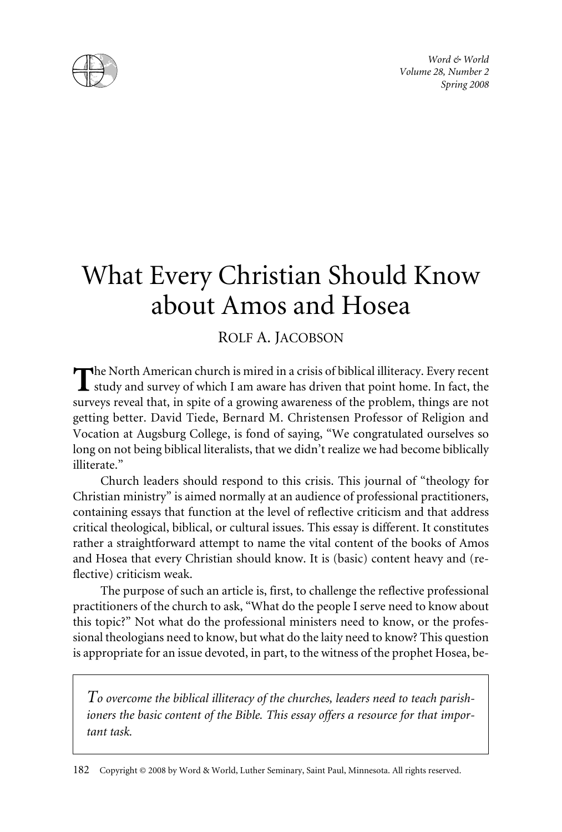

*Word & World Volume 28, Number 2 Spring 2008*

# What Every Christian Should Know about Amos and Hosea

## ROLF A. JACOBSON

**he** North American church is mired in a crisis of biblical illiteracy. Every recent study and survey of which I am aware has driven that point home. In fact, the surveys reveal that, in spite of a growing awareness of the problem, things are not getting better. David Tiede, Bernard M. Christensen Professor of Religion and Vocation at Augsburg College, is fond of saying, "We congratulated ourselves so long on not being biblical literalists, that we didn't realize we had become biblically illiterate."

Church leaders should respond to this crisis. This journal of "theology for Christian ministry" is aimed normally at an audience of professional practitioners, containing essays that function at the level of reflective criticism and that address critical theological, biblical, or cultural issues. This essay is different. It constitutes rather a straightforward attempt to name the vital content of the books of Amos and Hosea that every Christian should know. It is (basic) content heavy and (reflective) criticism weak.

The purpose of such an article is, first, to challenge the reflective professional practitioners of the church to ask, "What do the people I serve need to know about this topic?" Not what do the professional ministers need to know, or the professional theologians need to know, but what do the laity need to know? This question is appropriate for an issue devoted, in part, to the witness of the prophet Hosea, be-

*To overcome the biblical illiteracy of the churches, leaders need to teach parishioners the basic content of the Bible. This essay offers a resource for that important task.*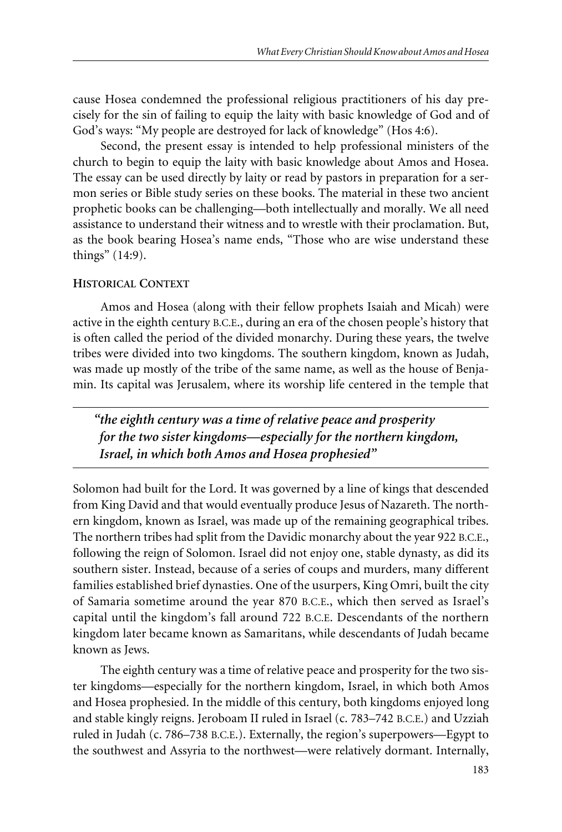cause Hosea condemned the professional religious practitioners of his day precisely for the sin of failing to equip the laity with basic knowledge of God and of God's ways: "My people are destroyed for lack of knowledge" (Hos 4:6).

Second, the present essay is intended to help professional ministers of the church to begin to equip the laity with basic knowledge about Amos and Hosea. The essay can be used directly by laity or read by pastors in preparation for a sermon series or Bible study series on these books. The material in these two ancient prophetic books can be challenging—both intellectually and morally. We all need assistance to understand their witness and to wrestle with their proclamation. But, as the book bearing Hosea's name ends, "Those who are wise understand these things" (14:9).

## **HISTORICAL CONTEXT**

Amos and Hosea (along with their fellow prophets Isaiah and Micah) were active in the eighth century B.C.E., during an era of the chosen people's history that is often called the period of the divided monarchy. During these years, the twelve tribes were divided into two kingdoms. The southern kingdom, known as Judah, was made up mostly of the tribe of the same name, as well as the house of Benjamin. Its capital was Jerusalem, where its worship life centered in the temple that

*"the eighth century was a time of relative peace and prosperity for the two sister kingdoms—especially for the northern kingdom, Israel, in which both Amos and Hosea prophesied"*

Solomon had built for the Lord. It was governed by a line of kings that descended from King David and that would eventually produce Jesus of Nazareth. The northern kingdom, known as Israel, was made up of the remaining geographical tribes. The northern tribes had split from the Davidic monarchy about the year 922 B.C.E., following the reign of Solomon. Israel did not enjoy one, stable dynasty, as did its southern sister. Instead, because of a series of coups and murders, many different families established brief dynasties. One of the usurpers, King Omri, built the city of Samaria sometime around the year 870 B.C.E., which then served as Israel's capital until the kingdom's fall around 722 B.C.E. Descendants of the northern kingdom later became known as Samaritans, while descendants of Judah became known as Jews.

The eighth century was a time of relative peace and prosperity for the two sister kingdoms—especially for the northern kingdom, Israel, in which both Amos and Hosea prophesied. In the middle of this century, both kingdoms enjoyed long and stable kingly reigns. Jeroboam II ruled in Israel (c. 783–742 B.C.E.) and Uzziah ruled in Judah (c. 786–738 B.C.E.). Externally, the region's superpowers—Egypt to the southwest and Assyria to the northwest—were relatively dormant. Internally,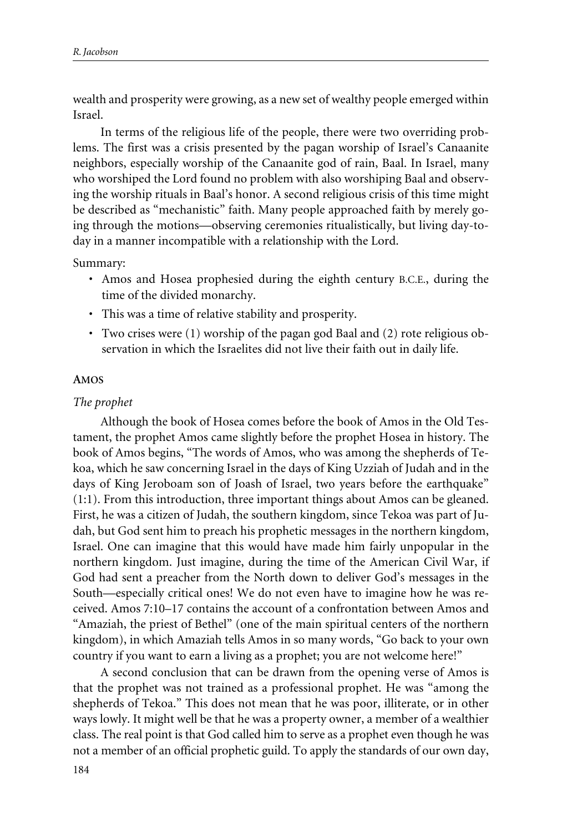wealth and prosperity were growing, as a new set of wealthy people emerged within Israel.

In terms of the religious life of the people, there were two overriding problems. The first was a crisis presented by the pagan worship of Israel's Canaanite neighbors, especially worship of the Canaanite god of rain, Baal. In Israel, many who worshiped the Lord found no problem with also worshiping Baal and observing the worship rituals in Baal's honor. A second religious crisis of this time might be described as "mechanistic" faith. Many people approached faith by merely going through the motions—observing ceremonies ritualistically, but living day-today in a manner incompatible with a relationship with the Lord.

Summary:

- Amos and Hosea prophesied during the eighth century B.C.E., during the time of the divided monarchy.
- This was a time of relative stability and prosperity.
- Two crises were (1) worship of the pagan god Baal and (2) rote religious observation in which the Israelites did not live their faith out in daily life.

## **AMOS**

## *The prophet*

Although the book of Hosea comes before the book of Amos in the Old Testament, the prophet Amos came slightly before the prophet Hosea in history. The book of Amos begins, "The words of Amos, who was among the shepherds of Tekoa, which he saw concerning Israel in the days of King Uzziah of Judah and in the days of King Jeroboam son of Joash of Israel, two years before the earthquake" (1:1). From this introduction, three important things about Amos can be gleaned. First, he was a citizen of Judah, the southern kingdom, since Tekoa was part of Judah, but God sent him to preach his prophetic messages in the northern kingdom, Israel. One can imagine that this would have made him fairly unpopular in the northern kingdom. Just imagine, during the time of the American Civil War, if God had sent a preacher from the North down to deliver God's messages in the South—especially critical ones! We do not even have to imagine how he was received. Amos 7:10–17 contains the account of a confrontation between Amos and "Amaziah, the priest of Bethel" (one of the main spiritual centers of the northern kingdom), in which Amaziah tells Amos in so many words, "Go back to your own country if you want to earn a living as a prophet; you are not welcome here!"

A second conclusion that can be drawn from the opening verse of Amos is that the prophet was not trained as a professional prophet. He was "among the shepherds of Tekoa." This does not mean that he was poor, illiterate, or in other ways lowly. It might well be that he was a property owner, a member of a wealthier class. The real point is that God called him to serve as a prophet even though he was not a member of an official prophetic guild. To apply the standards of our own day,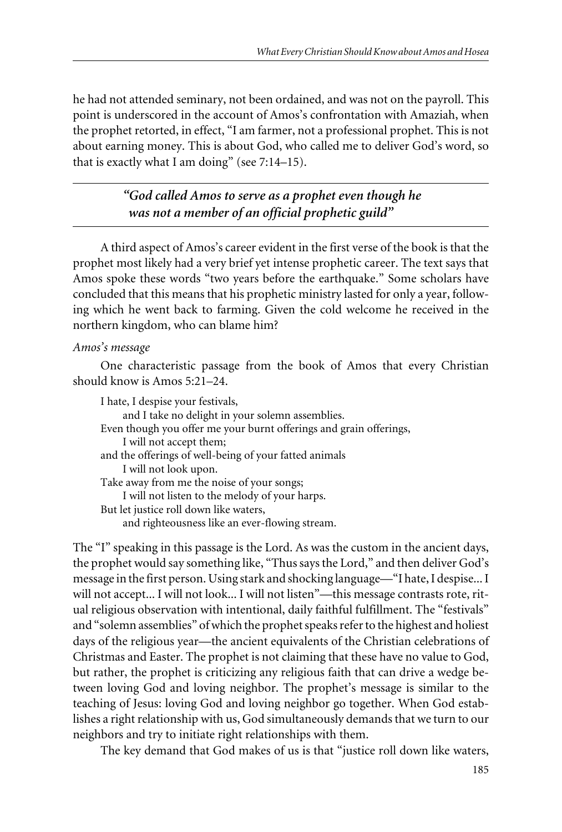he had not attended seminary, not been ordained, and was not on the payroll. This point is underscored in the account of Amos's confrontation with Amaziah, when the prophet retorted, in effect, "I am farmer, not a professional prophet. This is not about earning money. This is about God, who called me to deliver God's word, so that is exactly what I am doing" (see 7:14–15).

> *"God called Amos to serve as a prophet even though he was not a member of an official prophetic guild"*

A third aspect of Amos's career evident in the first verse of the book is that the prophet most likely had a very brief yet intense prophetic career. The text says that Amos spoke these words "two years before the earthquake." Some scholars have concluded that this means that his prophetic ministry lasted for only a year, following which he went back to farming. Given the cold welcome he received in the northern kingdom, who can blame him?

## *Amos's message*

One characteristic passage from the book of Amos that every Christian should know is Amos 5:21–24.

I hate, I despise your festivals, and I take no delight in your solemn assemblies. Even though you offer me your burnt offerings and grain offerings, I will not accept them; and the offerings of well-being of your fatted animals I will not look upon. Take away from me the noise of your songs; I will not listen to the melody of your harps. But let justice roll down like waters, and righteousness like an ever-flowing stream.

The "I" speaking in this passage is the Lord. As was the custom in the ancient days, the prophet would say something like, "Thus says the Lord," and then deliver God's message in the first person. Using stark and shocking language—"I hate, I despise... I will not accept... I will not look... I will not listen"—this message contrasts rote, ritual religious observation with intentional, daily faithful fulfillment. The "festivals" and "solemn assemblies" of which the prophet speaks refer to the highest and holiest days of the religious year—the ancient equivalents of the Christian celebrations of Christmas and Easter. The prophet is not claiming that these have no value to God, but rather, the prophet is criticizing any religious faith that can drive a wedge between loving God and loving neighbor. The prophet's message is similar to the teaching of Jesus: loving God and loving neighbor go together. When God establishes a right relationship with us, God simultaneously demands that we turn to our neighbors and try to initiate right relationships with them.

The key demand that God makes of us is that "justice roll down like waters,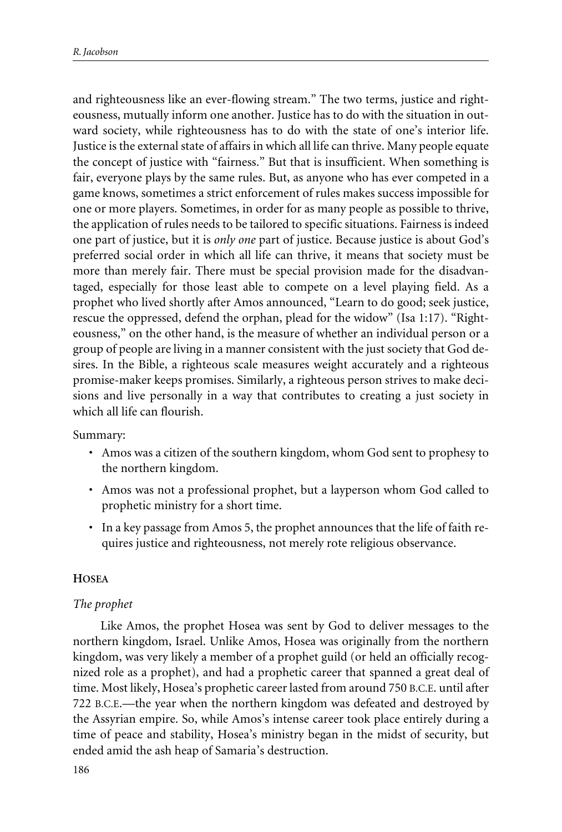and righteousness like an ever-flowing stream." The two terms, justice and righteousness, mutually inform one another. Justice has to do with the situation in outward society, while righteousness has to do with the state of one's interior life. Justice is the external state of affairs in which all life can thrive. Many people equate the concept of justice with "fairness." But that is insufficient. When something is fair, everyone plays by the same rules. But, as anyone who has ever competed in a game knows, sometimes a strict enforcement of rules makes success impossible for one or more players. Sometimes, in order for as many people as possible to thrive, the application of rules needs to be tailored to specific situations. Fairness is indeed one part of justice, but it is *only one* part of justice. Because justice is about God's preferred social order in which all life can thrive, it means that society must be more than merely fair. There must be special provision made for the disadvantaged, especially for those least able to compete on a level playing field. As a prophet who lived shortly after Amos announced, "Learn to do good; seek justice, rescue the oppressed, defend the orphan, plead for the widow" (Isa 1:17). "Righteousness," on the other hand, is the measure of whether an individual person or a group of people are living in a manner consistent with the just society that God desires. In the Bible, a righteous scale measures weight accurately and a righteous promise-maker keeps promises. Similarly, a righteous person strives to make decisions and live personally in a way that contributes to creating a just society in which all life can flourish.

Summary:

- Amos was a citizen of the southern kingdom, whom God sent to prophesy to the northern kingdom.
- Amos was not a professional prophet, but a layperson whom God called to prophetic ministry for a short time.
- In a key passage from Amos 5, the prophet announces that the life of faith requires justice and righteousness, not merely rote religious observance.

## **HOSEA**

## *The prophet*

Like Amos, the prophet Hosea was sent by God to deliver messages to the northern kingdom, Israel. Unlike Amos, Hosea was originally from the northern kingdom, was very likely a member of a prophet guild (or held an officially recognized role as a prophet), and had a prophetic career that spanned a great deal of time. Most likely, Hosea's prophetic career lasted from around 750 B.C.E. until after 722 B.C.E.—the year when the northern kingdom was defeated and destroyed by the Assyrian empire. So, while Amos's intense career took place entirely during a time of peace and stability, Hosea's ministry began in the midst of security, but ended amid the ash heap of Samaria's destruction.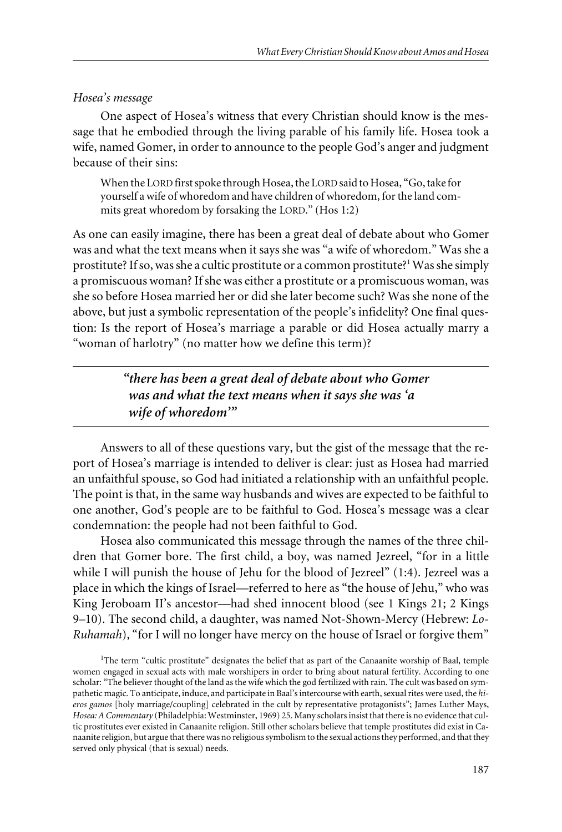#### *Hosea's message*

One aspect of Hosea's witness that every Christian should know is the message that he embodied through the living parable of his family life. Hosea took a wife, named Gomer, in order to announce to the people God's anger and judgment because of their sins:

When the LORD first spoke through Hosea, the LORD said to Hosea, "Go, take for yourself a wife of whoredom and have children of whoredom, for the land commits great whoredom by forsaking the LORD." (Hos 1:2)

As one can easily imagine, there has been a great deal of debate about who Gomer was and what the text means when it says she was "a wife of whoredom." Was she a prostitute? If so, was she a cultic prostitute or a common prostitute?<sup>1</sup> Was she simply a promiscuous woman? If she was either a prostitute or a promiscuous woman, was she so before Hosea married her or did she later become such? Was she none of the above, but just a symbolic representation of the people's infidelity? One final question: Is the report of Hosea's marriage a parable or did Hosea actually marry a "woman of harlotry" (no matter how we define this term)?

> *"there has been a great deal of debate about who Gomer was and what the text means when it says she was 'a wife of whoredom'"*

Answers to all of these questions vary, but the gist of the message that the report of Hosea's marriage is intended to deliver is clear: just as Hosea had married an unfaithful spouse, so God had initiated a relationship with an unfaithful people. The point is that, in the same way husbands and wives are expected to be faithful to one another, God's people are to be faithful to God. Hosea's message was a clear condemnation: the people had not been faithful to God.

Hosea also communicated this message through the names of the three children that Gomer bore. The first child, a boy, was named Jezreel, "for in a little while I will punish the house of Jehu for the blood of Jezreel" (1:4). Jezreel was a place in which the kings of Israel—referred to here as "the house of Jehu," who was King Jeroboam II's ancestor—had shed innocent blood (see 1 Kings 21; 2 Kings 9–10). The second child, a daughter, was named Not-Shown-Mercy (Hebrew: *Lo-Ruhamah*), "for I will no longer have mercy on the house of Israel or forgive them"

<sup>&</sup>lt;sup>1</sup>The term "cultic prostitute" designates the belief that as part of the Canaanite worship of Baal, temple women engaged in sexual acts with male worshipers in order to bring about natural fertility. According to one scholar: "The believer thought of the land as the wife which the god fertilized with rain. The cult was based on sympathetic magic. To anticipate, induce, and participate in Baal's intercourse with earth, sexual rites were used, the *hieros gamos* [holy marriage/coupling] celebrated in the cult by representative protagonists"; James Luther Mays, *Hosea: A Commentary* (Philadelphia: Westminster, 1969) 25. Many scholars insist that there is no evidence that cultic prostitutes ever existed in Canaanite religion. Still other scholars believe that temple prostitutes did exist in Canaanite religion, but argue that there was no religious symbolism to the sexual actions they performed, and that they served only physical (that is sexual) needs.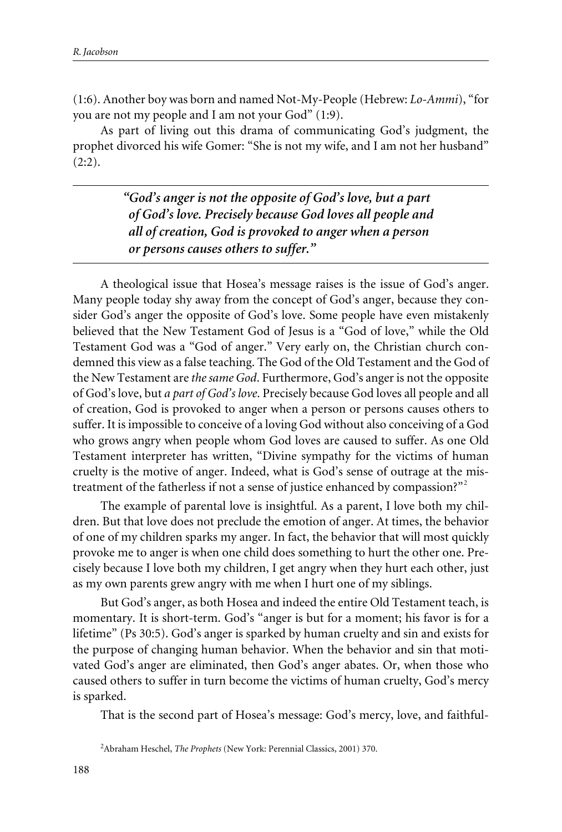(1:6). Another boy was born and named Not-My-People (Hebrew: *Lo-Ammi*), "for you are not my people and I am not your God" (1:9).

As part of living out this drama of communicating God's judgment, the prophet divorced his wife Gomer: "She is not my wife, and I am not her husband"  $(2:2).$ 

> *"God's anger is not the opposite of God's love, but a part of God's love. Precisely because God loves all people and all of creation, God is provoked to anger when a person or persons causes others to suffer."*

A theological issue that Hosea's message raises is the issue of God's anger. Many people today shy away from the concept of God's anger, because they consider God's anger the opposite of God's love. Some people have even mistakenly believed that the New Testament God of Jesus is a "God of love," while the Old Testament God was a "God of anger." Very early on, the Christian church condemned this view as a false teaching. The God of the Old Testament and the God of the New Testament are *the same God*. Furthermore, God's anger is not the opposite of God's love, but *a part of God's love*. Precisely because God loves all people and all of creation, God is provoked to anger when a person or persons causes others to suffer. It is impossible to conceive of a loving God without also conceiving of a God who grows angry when people whom God loves are caused to suffer. As one Old Testament interpreter has written, "Divine sympathy for the victims of human cruelty is the motive of anger. Indeed, what is God's sense of outrage at the mistreatment of the fatherless if not a sense of justice enhanced by compassion?"<sup>2</sup>

The example of parental love is insightful. As a parent, I love both my children. But that love does not preclude the emotion of anger. At times, the behavior of one of my children sparks my anger. In fact, the behavior that will most quickly provoke me to anger is when one child does something to hurt the other one. Precisely because I love both my children, I get angry when they hurt each other, just as my own parents grew angry with me when I hurt one of my siblings.

But God's anger, as both Hosea and indeed the entire Old Testament teach, is momentary. It is short-term. God's "anger is but for a moment; his favor is for a lifetime" (Ps 30:5). God's anger is sparked by human cruelty and sin and exists for the purpose of changing human behavior. When the behavior and sin that motivated God's anger are eliminated, then God's anger abates. Or, when those who caused others to suffer in turn become the victims of human cruelty, God's mercy is sparked.

That is the second part of Hosea's message: God's mercy, love, and faithful-

<sup>2</sup> Abraham Heschel, *The Prophets* (New York: Perennial Classics, 2001) 370.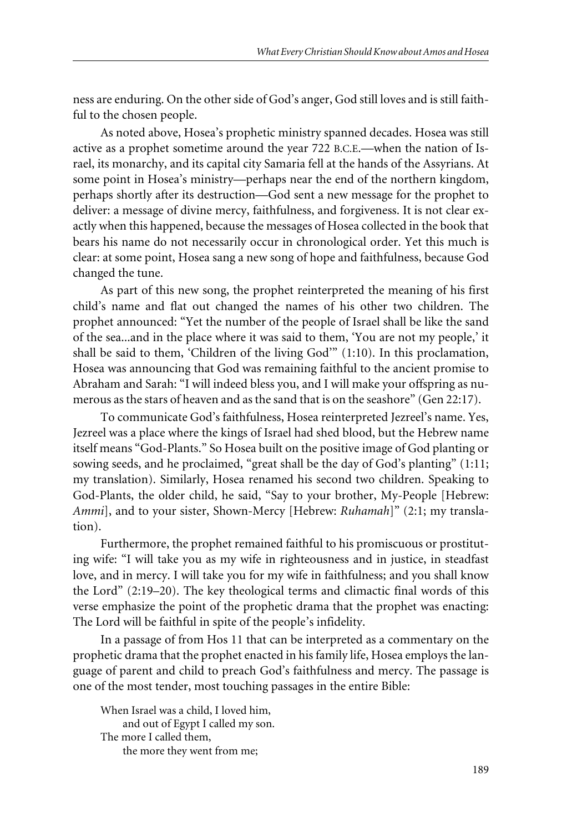ness are enduring. On the other side of God's anger, God still loves and is still faithful to the chosen people.

As noted above, Hosea's prophetic ministry spanned decades. Hosea was still active as a prophet sometime around the year 722 B.C.E.—when the nation of Israel, its monarchy, and its capital city Samaria fell at the hands of the Assyrians. At some point in Hosea's ministry—perhaps near the end of the northern kingdom, perhaps shortly after its destruction—God sent a new message for the prophet to deliver: a message of divine mercy, faithfulness, and forgiveness. It is not clear exactly when this happened, because the messages of Hosea collected in the book that bears his name do not necessarily occur in chronological order. Yet this much is clear: at some point, Hosea sang a new song of hope and faithfulness, because God changed the tune.

As part of this new song, the prophet reinterpreted the meaning of his first child's name and flat out changed the names of his other two children. The prophet announced: "Yet the number of the people of Israel shall be like the sand of the sea...and in the place where it was said to them, 'You are not my people,' it shall be said to them, 'Children of the living God'" (1:10). In this proclamation, Hosea was announcing that God was remaining faithful to the ancient promise to Abraham and Sarah: "I will indeed bless you, and I will make your offspring as numerous as the stars of heaven and as the sand that is on the seashore" (Gen 22:17).

To communicate God's faithfulness, Hosea reinterpreted Jezreel's name. Yes, Jezreel was a place where the kings of Israel had shed blood, but the Hebrew name itself means "God-Plants." So Hosea built on the positive image of God planting or sowing seeds, and he proclaimed, "great shall be the day of God's planting" (1:11; my translation). Similarly, Hosea renamed his second two children. Speaking to God-Plants, the older child, he said, "Say to your brother, My-People [Hebrew: *Ammi*], and to your sister, Shown-Mercy [Hebrew: *Ruhamah*]" (2:1; my translation).

Furthermore, the prophet remained faithful to his promiscuous or prostituting wife: "I will take you as my wife in righteousness and in justice, in steadfast love, and in mercy. I will take you for my wife in faithfulness; and you shall know the Lord" (2:19–20). The key theological terms and climactic final words of this verse emphasize the point of the prophetic drama that the prophet was enacting: The Lord will be faithful in spite of the people's infidelity.

In a passage of from Hos 11 that can be interpreted as a commentary on the prophetic drama that the prophet enacted in his family life, Hosea employs the language of parent and child to preach God's faithfulness and mercy. The passage is one of the most tender, most touching passages in the entire Bible:

When Israel was a child, I loved him, and out of Egypt I called my son. The more I called them, the more they went from me;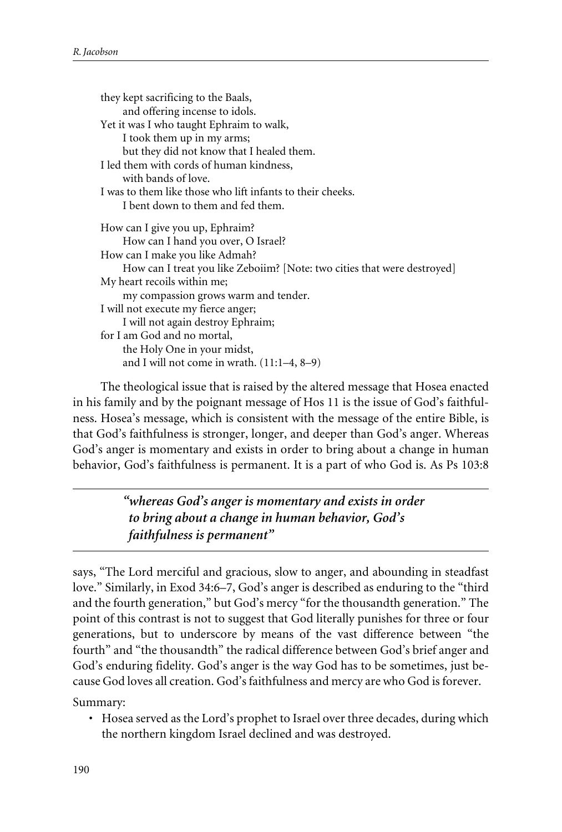they kept sacrificing to the Baals, and offering incense to idols. Yet it was I who taught Ephraim to walk, I took them up in my arms; but they did not know that I healed them. I led them with cords of human kindness, with bands of love. I was to them like those who lift infants to their cheeks. I bent down to them and fed them. How can I give you up, Ephraim? How can I hand you over, O Israel? How can I make you like Admah? How can I treat you like Zeboiim? [Note: two cities that were destroyed] My heart recoils within me; my compassion grows warm and tender. I will not execute my fierce anger; I will not again destroy Ephraim; for I am God and no mortal, the Holy One in your midst, and I will not come in wrath. (11:1–4, 8–9)

The theological issue that is raised by the altered message that Hosea enacted in his family and by the poignant message of Hos 11 is the issue of God's faithfulness. Hosea's message, which is consistent with the message of the entire Bible, is that God's faithfulness is stronger, longer, and deeper than God's anger. Whereas God's anger is momentary and exists in order to bring about a change in human behavior, God's faithfulness is permanent. It is a part of who God is. As Ps 103:8

> *"whereas God's anger is momentary and exists in order to bring about a change in human behavior, God's faithfulness is permanent"*

says, "The Lord merciful and gracious, slow to anger, and abounding in steadfast love." Similarly, in Exod 34:6–7, God's anger is described as enduring to the "third and the fourth generation," but God's mercy "for the thousandth generation." The point of this contrast is not to suggest that God literally punishes for three or four generations, but to underscore by means of the vast difference between "the fourth" and "the thousandth" the radical difference between God's brief anger and God's enduring fidelity. God's anger is the way God has to be sometimes, just because God loves all creation. God's faithfulness and mercy are who God is forever.

Summary:

• Hosea served as the Lord's prophet to Israel over three decades, during which the northern kingdom Israel declined and was destroyed.